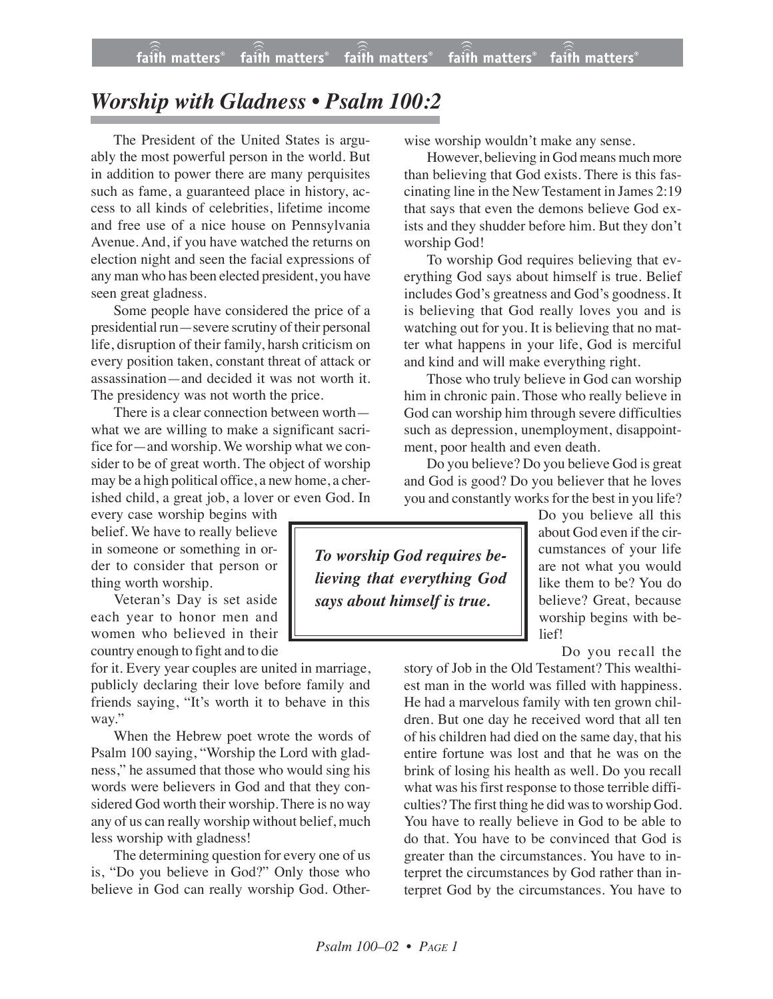## *Worship with Gladness • Psalm 100:2*

The President of the United States is arguably the most powerful person in the world. But in addition to power there are many perquisites such as fame, a guaranteed place in history, access to all kinds of celebrities, lifetime income and free use of a nice house on Pennsylvania Avenue. And, if you have watched the returns on election night and seen the facial expressions of any man who has been elected president, you have seen great gladness.

Some people have considered the price of a presidential run—severe scrutiny of their personal life, disruption of their family, harsh criticism on every position taken, constant threat of attack or assassination—and decided it was not worth it. The presidency was not worth the price.

There is a clear connection between worth what we are willing to make a significant sacrifice for—and worship. We worship what we consider to be of great worth. The object of worship may be a high political office, a new home, a cherished child, a great job, a lover or even God. In

every case worship begins with belief. We have to really believe in someone or something in order to consider that person or thing worth worship.

Veteran's Day is set aside each year to honor men and women who believed in their country enough to fight and to die

for it. Every year couples are united in marriage, publicly declaring their love before family and friends saying, "It's worth it to behave in this way."

When the Hebrew poet wrote the words of Psalm 100 saying, "Worship the Lord with gladness," he assumed that those who would sing his words were believers in God and that they considered God worth their worship. There is no way any of us can really worship without belief, much less worship with gladness!

The determining question for every one of us is, "Do you believe in God?" Only those who believe in God can really worship God. Otherwise worship wouldn't make any sense.

However, believing in God means much more than believing that God exists. There is this fascinating line in the New Testament in James 2:19 that says that even the demons believe God exists and they shudder before him. But they don't worship God!

To worship God requires believing that everything God says about himself is true. Belief includes God's greatness and God's goodness. It is believing that God really loves you and is watching out for you. It is believing that no matter what happens in your life, God is merciful and kind and will make everything right.

Those who truly believe in God can worship him in chronic pain. Those who really believe in God can worship him through severe difficulties such as depression, unemployment, disappointment, poor health and even death.

Do you believe? Do you believe God is great and God is good? Do you believer that he loves you and constantly works for the best in you life?

*To worship God requires believing that everything God says about himself is true.*

Do you believe all this about God even if the circumstances of your life are not what you would like them to be? You do believe? Great, because worship begins with belief!

Do you recall the

story of Job in the Old Testament? This wealthiest man in the world was filled with happiness. He had a marvelous family with ten grown children. But one day he received word that all ten of his children had died on the same day, that his entire fortune was lost and that he was on the brink of losing his health as well. Do you recall what was his first response to those terrible difficulties? The first thing he did was to worship God. You have to really believe in God to be able to do that. You have to be convinced that God is greater than the circumstances. You have to interpret the circumstances by God rather than interpret God by the circumstances. You have to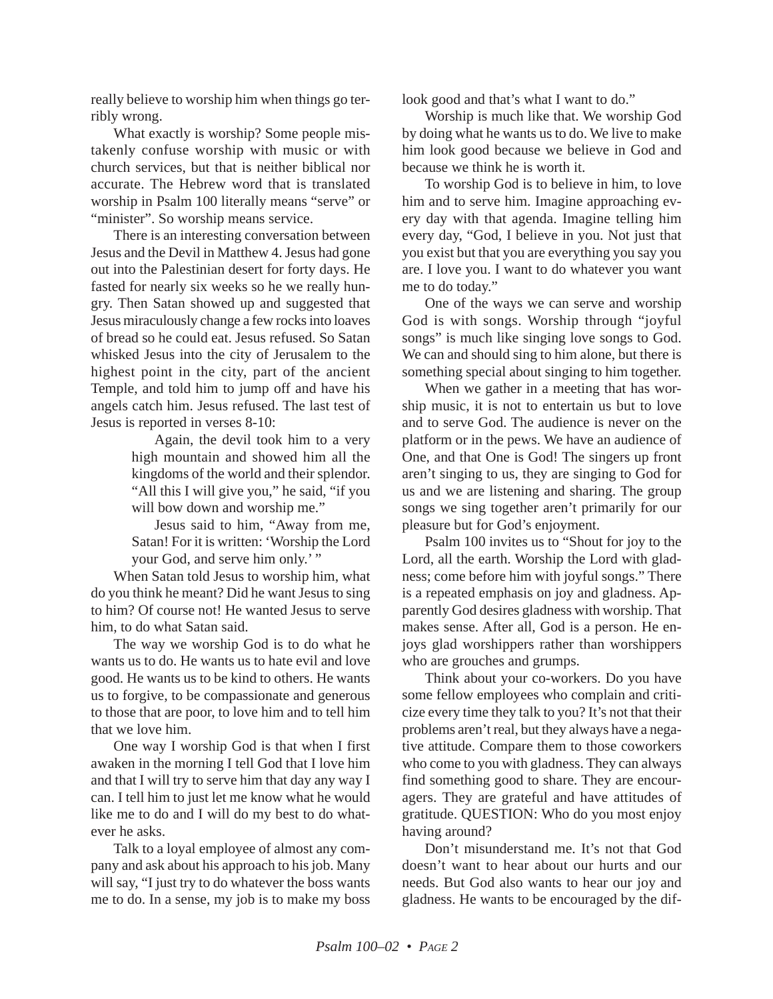really believe to worship him when things go terribly wrong.

What exactly is worship? Some people mistakenly confuse worship with music or with church services, but that is neither biblical nor accurate. The Hebrew word that is translated worship in Psalm 100 literally means "serve" or "minister". So worship means service.

There is an interesting conversation between Jesus and the Devil in Matthew 4. Jesus had gone out into the Palestinian desert for forty days. He fasted for nearly six weeks so he we really hungry. Then Satan showed up and suggested that Jesus miraculously change a few rocks into loaves of bread so he could eat. Jesus refused. So Satan whisked Jesus into the city of Jerusalem to the highest point in the city, part of the ancient Temple, and told him to jump off and have his angels catch him. Jesus refused. The last test of Jesus is reported in verses 8-10:

> Again, the devil took him to a very high mountain and showed him all the kingdoms of the world and their splendor. "All this I will give you," he said, "if you will bow down and worship me."

> Jesus said to him, "Away from me, Satan! For it is written: 'Worship the Lord your God, and serve him only.'"

When Satan told Jesus to worship him, what do you think he meant? Did he want Jesus to sing to him? Of course not! He wanted Jesus to serve him, to do what Satan said.

The way we worship God is to do what he wants us to do. He wants us to hate evil and love good. He wants us to be kind to others. He wants us to forgive, to be compassionate and generous to those that are poor, to love him and to tell him that we love him.

One way I worship God is that when I first awaken in the morning I tell God that I love him and that I will try to serve him that day any way I can. I tell him to just let me know what he would like me to do and I will do my best to do whatever he asks.

Talk to a loyal employee of almost any company and ask about his approach to his job. Many will say, "I just try to do whatever the boss wants me to do. In a sense, my job is to make my boss look good and that's what I want to do."

Worship is much like that. We worship God by doing what he wants us to do. We live to make him look good because we believe in God and because we think he is worth it.

To worship God is to believe in him, to love him and to serve him. Imagine approaching every day with that agenda. Imagine telling him every day, "God, I believe in you. Not just that you exist but that you are everything you say you are. I love you. I want to do whatever you want me to do today."

One of the ways we can serve and worship God is with songs. Worship through "joyful songs" is much like singing love songs to God. We can and should sing to him alone, but there is something special about singing to him together.

When we gather in a meeting that has worship music, it is not to entertain us but to love and to serve God. The audience is never on the platform or in the pews. We have an audience of One, and that One is God! The singers up front aren't singing to us, they are singing to God for us and we are listening and sharing. The group songs we sing together aren't primarily for our pleasure but for God's enjoyment.

Psalm 100 invites us to "Shout for joy to the Lord, all the earth. Worship the Lord with gladness; come before him with joyful songs." There is a repeated emphasis on joy and gladness. Apparently God desires gladness with worship. That makes sense. After all, God is a person. He enjoys glad worshippers rather than worshippers who are grouches and grumps.

Think about your co-workers. Do you have some fellow employees who complain and criticize every time they talk to you? It's not that their problems aren't real, but they always have a negative attitude. Compare them to those coworkers who come to you with gladness. They can always find something good to share. They are encouragers. They are grateful and have attitudes of gratitude. QUESTION: Who do you most enjoy having around?

Don't misunderstand me. It's not that God doesn't want to hear about our hurts and our needs. But God also wants to hear our joy and gladness. He wants to be encouraged by the dif